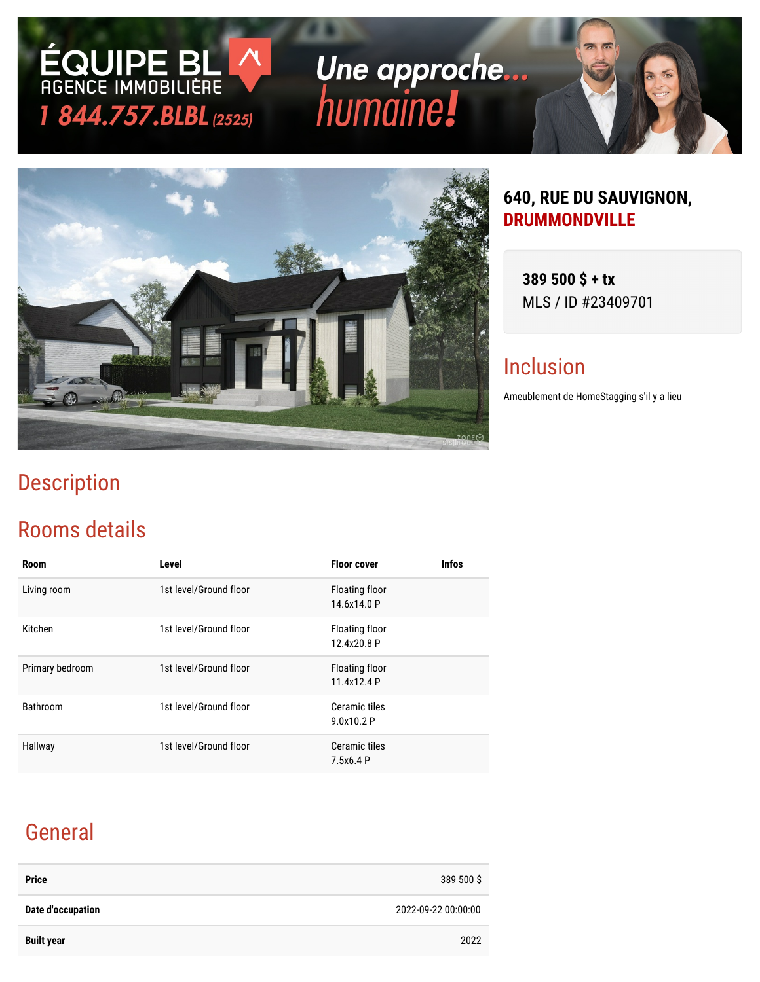# Une approche... humaine!



### **640, RUE DU SAUVIGNON, DRUMMONDVILLE**

**389 500 \$ + tx** MLS / ID #23409701

### Inclusion

Ameublement de HomeStagging s'il y a lieu

## Description

### Rooms details

**ÉQUIPE BL**<br>AGENCE IMMOBILIÈRE

1 844.757.BLBL (2525)

| <b>Room</b>     | Level                  | <b>Floor cover</b>            | <b>Infos</b> |
|-----------------|------------------------|-------------------------------|--------------|
| Living room     | 1st level/Ground floor | Floating floor<br>14.6x14.0 P |              |
| Kitchen         | 1st level/Ground floor | Floating floor<br>12.4x20.8 P |              |
| Primary bedroom | 1st level/Ground floor | Floating floor<br>11.4x12.4 P |              |
| Bathroom        | 1st level/Ground floor | Ceramic tiles<br>9.0x10.2 P   |              |
| Hallway         | 1st level/Ground floor | Ceramic tiles<br>7.5x6.4 P    |              |

## General

| <b>Price</b>      | 389 500 \$          |
|-------------------|---------------------|
| Date d'occupation | 2022-09-22 00:00:00 |
| <b>Built year</b> | 2022                |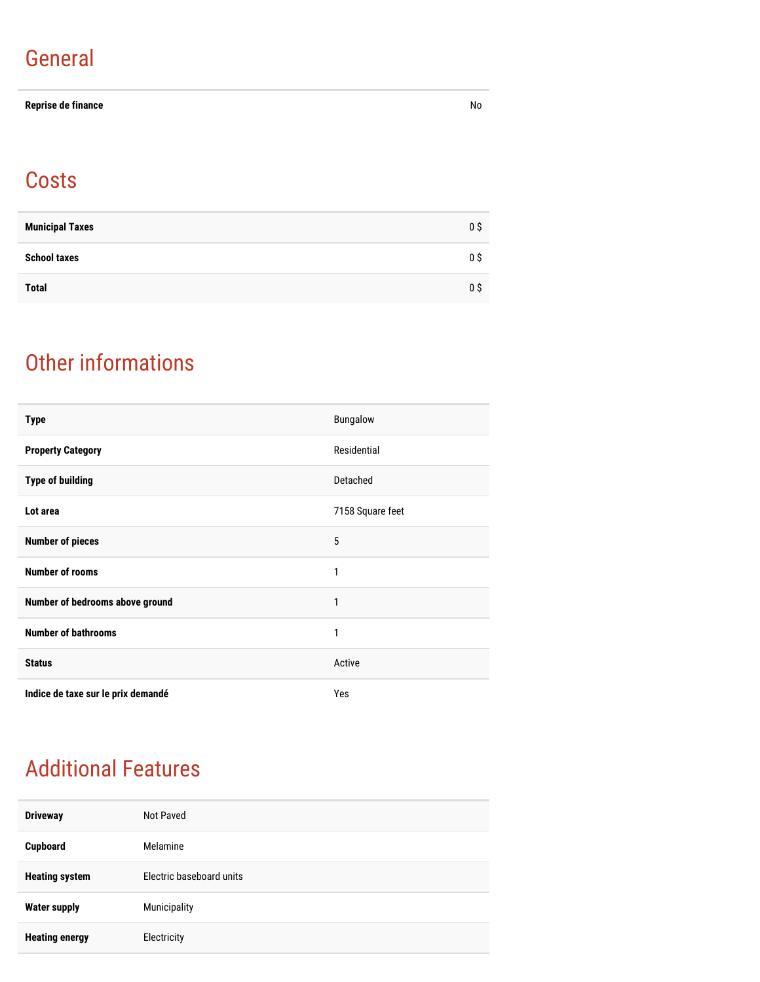### General

#### **Reprise de finance** No

### **Costs**

| <b>Municipal Taxes</b> | 0 \$ |
|------------------------|------|
| <b>School taxes</b>    | 0 S  |
| <b>Total</b>           | 0 \$ |

### Other informations

| <b>Type</b>                        | Bungalow         |
|------------------------------------|------------------|
| <b>Property Category</b>           | Residential      |
| <b>Type of building</b>            | Detached         |
| Lot area                           | 7158 Square feet |
| <b>Number of pieces</b>            | 5                |
| <b>Number of rooms</b>             | 1                |
| Number of bedrooms above ground    | 1                |
| <b>Number of bathrooms</b>         | 1                |
| <b>Status</b>                      | Active           |
| Indice de taxe sur le prix demandé | Yes              |

### Additional Features

| <b>Driveway</b>       | Not Paved                |
|-----------------------|--------------------------|
| Cupboard              | Melamine                 |
| <b>Heating system</b> | Electric baseboard units |
| <b>Water supply</b>   | Municipality             |
| <b>Heating energy</b> | Electricity              |